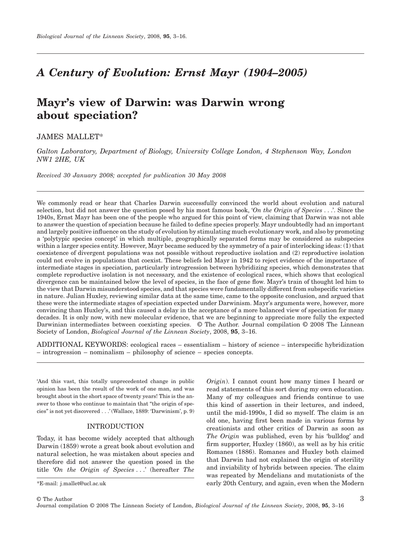## *A Century of Evolution: Ernst Mayr (1904–2005)*

# **Mayr's view of Darwin: was Darwin wrong about speciation?**

JAMES MALLET\*

*Galton Laboratory, Department of Biology, University College London, 4 Stephenson Way, London NW1 2HE, UK*

*Received 30 January 2008; accepted for publication 30 May 2008*

We commonly read or hear that Charles Darwin successfully convinced the world about evolution and natural selection, but did not answer the question posed by his most famous book, '*On the Origin of Species* . . .'. Since the 1940s, Ernst Mayr has been one of the people who argued for this point of view, claiming that Darwin was not able to answer the question of speciation because he failed to define species properly. Mayr undoubtedly had an important and largely positive influence on the study of evolution by stimulating much evolutionary work, and also by promoting a 'polytypic species concept' in which multiple, geographically separated forms may be considered as subspecies within a larger species entity. However, Mayr became seduced by the symmetry of a pair of interlocking ideas: (1) that coexistence of divergent populations was not possible without reproductive isolation and (2) reproductive isolation could not evolve in populations that coexist. These beliefs led Mayr in 1942 to reject evidence of the importance of intermediate stages in speciation, particularly introgression between hybridizing species, which demonstrates that complete reproductive isolation is not necessary, and the existence of ecological races, which shows that ecological divergence can be maintained below the level of species, in the face of gene flow. Mayr's train of thought led him to the view that Darwin misunderstood species, and that species were fundamentally different from subspecific varieties in nature. Julian Huxley, reviewing similar data at the same time, came to the opposite conclusion, and argued that these were the intermediate stages of speciation expected under Darwinism. Mayr's arguments were, however, more convincing than Huxley's, and this caused a delay in the acceptance of a more balanced view of speciation for many decades. It is only now, with new molecular evidence, that we are beginning to appreciate more fully the expected Darwinian intermediates between coexisting species. © The Author. Journal compilation © 2008 The Linnean Society of London, *Biological Journal of the Linnean Society*, 2008, **95**, 3–16.

ADDITIONAL KEYWORDS: ecological races – essentialism – history of science – interspecific hybridization – introgression – nominalism – philosophy of science – species concepts.

'And this vast, this totally unprecedented change in public opinion has been the result of the work of one man, and was brought about in the short space of twenty years! This is the answer to those who continue to maintain that "the origin of species" is not yet discovered . . .' (Wallace, 1889: 'Darwinism', p. 9)

#### INTRODUCTION

Today, it has become widely accepted that although Darwin (1859) wrote a great book about evolution and natural selection, he was mistaken about species and therefore did not answer the question posed in the title '*On the Origin of Species* . . .' (hereafter *The*

*Origin*). I cannot count how many times I heard or read statements of this sort during my own education. Many of my colleagues and friends continue to use this kind of assertion in their lectures, and indeed, until the mid-1990s, I did so myself. The claim is an old one, having first been made in various forms by creationists and other critics of Darwin as soon as *The Origin* was published, even by his 'bulldog' and firm supporter, Huxley (1860), as well as by his critic Romanes (1886). Romanes and Huxley both claimed that Darwin had not explained the origin of sterility and inviability of hybrids between species. The claim was repeated by Mendelians and mutationists of the \*E-mail: j.[mallet@ucl.ac.uk](mailto:mallet@ucl.ac.uk) early 20th Century, and again, even when the Modern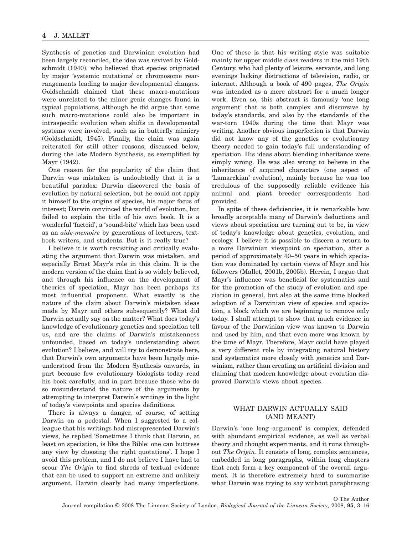Synthesis of genetics and Darwinian evolution had been largely reconciled, the idea was revived by Goldschmidt (1940), who believed that species originated by major 'systemic mutations' or chromosome rearrangements leading to major developmental changes. Goldschmidt claimed that these macro-mutations were unrelated to the minor genic changes found in typical populations, although he did argue that some such macro-mutations could also be important in intraspecific evolution when shifts in developmental systems were involved, such as in butterfly mimicry (Goldschmidt, 1945). Finally, the claim was again reiterated for still other reasons, discussed below, during the late Modern Synthesis, as exemplified by Mayr (1942).

One reason for the popularity of the claim that Darwin was mistaken is undoubtedly that it is a beautiful paradox: Darwin discovered the basis of evolution by natural selection, but he could not apply it himself to the origins of species, his major focus of interest; Darwin convinced the world of evolution, but failed to explain the title of his own book. It is a wonderful 'factoid', a 'sound-bite' which has been used as an *aide-memoire* by generations of lecturers, textbook writers, and students. But is it really true?

I believe it is worth revisiting and critically evaluating the argument that Darwin was mistaken, and especially Ernst Mayr's role in this claim. It is the modern version of the claim that is so widely believed, and through his influence on the development of theories of speciation, Mayr has been perhaps its most influential proponent. What exactly is the nature of the claim about Darwin's mistaken ideas made by Mayr and others subsequently? What did Darwin actually say on the matter? What does today's knowledge of evolutionary genetics and speciation tell us, and are the claims of Darwin's mistakenness unfounded, based on today's understanding about evolution? I believe, and will try to demonstrate here, that Darwin's own arguments have been largely misunderstood from the Modern Synthesis onwards, in part because few evolutionary biologists today read his book carefully, and in part because those who do so misunderstand the nature of the arguments by attempting to interpret Darwin's writings in the light of today's viewpoints and species definitions.

There is always a danger, of course, of setting Darwin on a pedestal. When I suggested to a colleague that his writings had misrepresented Darwin's views, he replied 'Sometimes I think that Darwin, at least on speciation, is like the Bible: one can buttress any view by choosing the right quotations'. I hope I avoid this problem, and I do not believe I have had to scour *The Origin* to find shreds of textual evidence that can be used to support an extreme and unlikely argument. Darwin clearly had many imperfections. One of these is that his writing style was suitable mainly for upper middle class readers in the mid 19th Century, who had plenty of leisure, servants, and long evenings lacking distractions of television, radio, or internet. Although a book of 490 pages, *The Origin* was intended as a mere abstract for a much longer work. Even so, this abstract is famously 'one long argument' that is both complex and discursive by today's standards, and also by the standards of the war-torn 1940s during the time that Mayr was writing. Another obvious imperfection is that Darwin did not know any of the genetics or evolutionary theory needed to gain today's full understanding of speciation. His ideas about blending inheritance were simply wrong. He was also wrong to believe in the inheritance of acquired characters (one aspect of 'Lamarckian' evolution), mainly because he was too credulous of the supposedly reliable evidence his animal and plant breeder correspondents had provided.

In spite of these deficiencies, it is remarkable how broadly acceptable many of Darwin's deductions and views about speciation are turning out to be, in view of today's knowledge about genetics, evolution, and ecology. I believe it is possible to discern a return to a more Darwinian viewpoint on speciation, after a period of approximately 40–50 years in which speciation was dominated by certain views of Mayr and his followers (Mallet, 2001b, 2005b). Herein, I argue that Mayr's influence was beneficial for systematics and for the promotion of the study of evolution and speciation in general, but also at the same time blocked adoption of a Darwinian view of species and speciation, a block which we are beginning to remove only today. I shall attempt to show that much evidence in favour of the Darwinian view was known to Darwin and used by him, and that even more was known by the time of Mayr. Therefore, Mayr could have played a very different role by integrating natural history and systematics more closely with genetics and Darwinism, rather than creating an artificial division and claiming that modern knowledge about evolution disproved Darwin's views about species.

## WHAT DARWIN ACTUALLY SAID (AND MEANT)

Darwin's 'one long argument' is complex, defended with abundant empirical evidence, as well as verbal theory and thought experiments, and it runs throughout *The Origin*. It consists of long, complex sentences, embedded in long paragraphs, within long chapters that each form a key component of the overall argument. It is therefore extremely hard to summarize what Darwin was trying to say without paraphrasing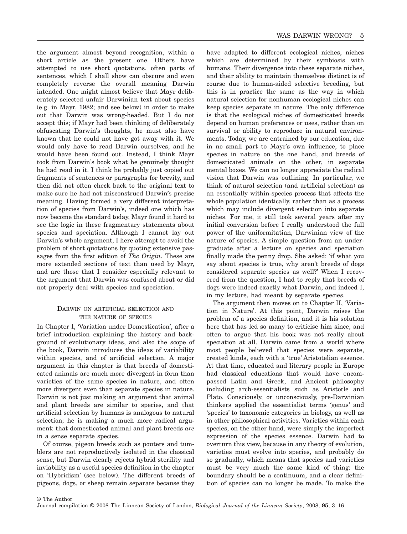the argument almost beyond recognition, within a short article as the present one. Others have attempted to use short quotations, often parts of sentences, which I shall show can obscure and even completely reverse the overall meaning Darwin intended. One might almost believe that Mayr deliberately selected unfair Darwinian text about species (e.g. in Mayr, 1982; and see below) in order to make out that Darwin was wrong-headed. But I do not accept this; if Mayr had been thinking of deliberately obfuscating Darwin's thoughts, he must also have known that he could not have got away with it. We would only have to read Darwin ourselves, and he would have been found out. Instead, I think Mayr took from Darwin's book what he genuinely thought he had read in it. I think he probably just copied out fragments of sentences or paragraphs for brevity, and then did not often check back to the original text to make sure he had not misconstrued Darwin's precise meaning. Having formed a very different interpretation of species from Darwin's, indeed one which has now become the standard today, Mayr found it hard to see the logic in these fragmentary statements about species and speciation. Although I cannot lay out Darwin's whole argument, I here attempt to avoid the problem of short quotations by quoting extensive passages from the first edition of *The Origin*. These are more extended sections of text than used by Mayr, and are those that I consider especially relevant to the argument that Darwin was confused about or did not properly deal with species and speciation.

## DARWIN ON ARTIFICIAL SELECTION AND THE NATURE OF SPECIES

In Chapter I, 'Variation under Domestication', after a brief introduction explaining the history and background of evolutionary ideas, and also the scope of the book, Darwin introduces the ideas of variability within species, and of artificial selection. A major argument in this chapter is that breeds of domesticated animals are much more divergent in form than varieties of the same species in nature, and often more divergent even than separate species in nature. Darwin is not just making an argument that animal and plant breeds are similar to species, and that artificial selection by humans is analogous to natural selection; he is making a much more radical argument: that domesticated animal and plant breeds *are* in a sense separate species.

Of course, pigeon breeds such as pouters and tumblers are not reproductively isolated in the classical sense, but Darwin clearly rejects hybrid sterility and inviability as a useful species definition in the chapter on 'Hybridism' (see below). The different breeds of pigeons, dogs, or sheep remain separate because they have adapted to different ecological niches, niches which are determined by their symbiosis with humans. Their divergence into these separate niches, and their ability to maintain themselves distinct is of course due to human-aided selective breeding, but this is in practice the same as the way in which natural selection for nonhuman ecological niches can keep species separate in nature. The only difference is that the ecological niches of domesticated breeds depend on human preferences or uses, rather than on survival or ability to reproduce in natural environments. Today, we are entrained by our education, due in no small part to Mayr's own influence, to place species in nature on the one hand, and breeds of domesticated animals on the other, in separate mental boxes. We can no longer appreciate the radical vision that Darwin was outlining. In particular, we think of natural selection (and artificial selection) as an essentially within-species process that affects the whole population identically, rather than as a process which may include divergent selection into separate niches. For me, it still took several years after my initial conversion before I really understood the full power of the uniformitatian, Darwinian view of the nature of species. A simple question from an undergraduate after a lecture on species and speciation finally made the penny drop. She asked: 'if what you say about species is true, why aren't breeds of dogs considered separate species as well?' When I recovered from the question, I had to reply that breeds of dogs were indeed exactly what Darwin, and indeed I, in my lecture, had meant by separate species.

The argument then moves on to Chapter II, 'Variation in Nature'. At this point, Darwin raises the problem of a species definition, and it is his solution here that has led so many to criticise him since, and often to argue that his book was not really about speciation at all. Darwin came from a world where most people believed that species were separate, created kinds, each with a 'true' Aristotelian essence. At that time, educated and literary people in Europe had classical educations that would have encompassed Latin and Greek, and Ancient philosophy including arch-essentialists such as Aristotle and Plato. Consciously, or unconsciously, pre-Darwinian thinkers applied the essentialist terms 'genus' and 'species' to taxonomic categories in biology, as well as in other philosophical activities. Varieties within each species, on the other hand, were simply the imperfect expression of the species essence. Darwin had to overturn this view, because in any theory of evolution, varieties must evolve into species, and probably do so gradually, which means that species and varieties must be very much the same kind of thing: the boundary should be a continuum, and a clear definition of species can no longer be made. To make the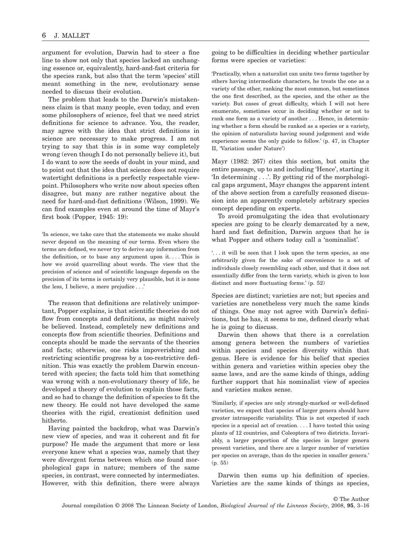argument for evolution, Darwin had to steer a fine line to show not only that species lacked an unchanging essence or, equivalently, hard-and-fast criteria for the species rank, but also that the term 'species' still meant something in the new, evolutionary sense needed to discuss their evolution.

The problem that leads to the Darwin's mistakenness claim is that many people, even today, and even some philosophers of science, feel that we need strict definitions for science to advance. You, the reader, may agree with the idea that strict definitions in science are necessary to make progress. I am not trying to say that this is in some way completely wrong (even though I do not personally believe it), but I do want to sow the seeds of doubt in your mind, and to point out that the idea that science does not require watertight definitions is a perfectly respectable viewpoint. Philosophers who write now about species often disagree, but many are rather negative about the need for hard-and-fast definitions (Wilson, 1999). We can find examples even at around the time of Mayr's first book (Popper, 1945: 19):

'In science, we take care that the statements we make should never depend on the meaning of our terms. Even where the terms are defined, we never try to derive any information from the definition, or to base any argument upon it.... This is how we avoid quarrelling about words. The view that the precision of science and of scientific language depends on the precision of its terms is certainly very plausible, but it is none the less, I believe, a mere prejudice . . .'

The reason that definitions are relatively unimportant, Popper explains, is that scientific theories do not flow from concepts and definitions, as might naively be believed. Instead, completely new definitions and concepts flow from scientific theories. Definitions and concepts should be made the servants of the theories and facts; otherwise, one risks impoverishing and restricting scientific progress by a too-restrictive definition. This was exactly the problem Darwin encountered with species; the facts told him that something was wrong with a non-evolutionary theory of life, he developed a theory of evolution to explain those facts, and so had to change the definition of species to fit the new theory. He could not have developed the same theories with the rigid, creationist definition used hitherto.

Having painted the backdrop, what was Darwin's new view of species, and was it coherent and fit for purpose? He made the argument that more or less everyone knew what a species was, namely that they were divergent forms between which one found morphological gaps in nature; members of the same species, in contrast, were connected by intermediates. However, with this definition, there were always going to be difficulties in deciding whether particular forms were species or varieties:

'Practically, when a naturalist can unite two forms together by others having intermediate characters, he treats the one as a variety of the other, ranking the most common, but sometimes the one first described, as the species, and the other as the variety. But cases of great difficulty, which I will not here enumerate, sometimes occur in deciding whether or not to rank one form as a variety of another . . . Hence, in determining whether a form should be ranked as a species or a variety, the opinion of naturalists having sound judgement and wide experience seems the only guide to follow.' (p. 47, in Chapter II, 'Variation under Nature')

Mayr (1982: 267) cites this section, but omits the entire passage, up to and including 'Hence', starting it 'In determining . . .'. By getting rid of the morphological gaps argument, Mayr changes the apparent intent of the above section from a carefully reasoned discussion into an apparently completely arbitrary species concept depending on experts.

To avoid promulgating the idea that evolutionary species are going to be clearly demarcated by a new, hard and fast definition, Darwin argues that he is what Popper and others today call a 'nominalist'.

'. . . it will be seen that I look upon the term species, as one arbitrarily given for the sake of convenience to a set of individuals closely resembling each other, and that it does not essentially differ from the term variety, which is given to less distinct and more fluctuating forms.' (p. 52)

Species are distinct; varieties are not; but species and varieties are nonetheless very much the same kinds of things. One may not agree with Darwin's definitions, but he has, it seems to me, defined clearly what he is going to discuss.

Darwin then shows that there is a correlation among genera between the numbers of varieties within species and species diversity within that genus. Here is evidence for his belief that species within genera and varieties within species obey the same laws, and are the same kinds of things, adding further support that his nominalist view of species and varieties makes sense.

'Similarly, if species are only strongly-marked or well-defined varieties, we expect that species of larger genera should have greater intraspecific variability. This is not expected if each species is a special act of creation....I have tested this using plants of 12 countries, and Coleoptera of two districts. Invariably, a larger proportion of the species in larger genera present varieties, and there are a larger number of varieties per species on average, than do the species in smaller genera.' (p. 55)

Darwin then sums up his definition of species. Varieties are the same kinds of things as species,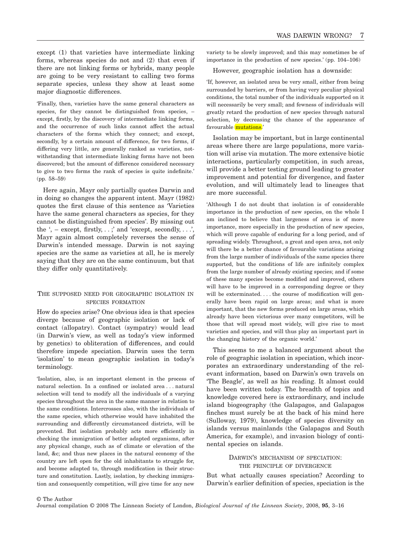except (1) that varieties have intermediate linking forms, whereas species do not and (2) that even if there are not linking forms or hybrids, many people are going to be very resistant to calling two forms separate species, unless they show at least some major diagnostic differences.

'Finally, then, varieties have the same general characters as species, for they cannot be distinguished from species, – except, firstly, by the discovery of intermediate linking forms, and the occurrence of such links cannot affect the actual characters of the forms which they connect; and except, secondly, by a certain amount of difference, for two forms, if differing very little, are generally ranked as varieties, notwithstanding that intermediate linking forms have not been discovered; but the amount of difference considered necessary to give to two forms the rank of species is quite indefinite.' (pp. 58–59)

Here again, Mayr only partially quotes Darwin and in doing so changes the apparent intent. Mayr (1982) quotes the first clause of this sentence as 'Varieties have the same general characters as species, for they cannot be distinguished from species'. By missing out the ', – except, firstly,  $\ldots$ ; and 'except, secondly,  $\ldots$ ', Mayr again almost completely reverses the sense of Darwin's intended message. Darwin is not saying species are the same as varieties at all, he is merely saying that they are on the same continuum, but that they differ only quantitatively.

## THE SUPPOSED NEED FOR GEOGRAPHIC ISOLATION IN SPECIES FORMATION

How do species arise? One obvious idea is that species diverge because of geographic isolation or lack of contact (allopatry). Contact (sympatry) would lead (in Darwin's view, as well as today's view informed by genetics) to obliteration of differences, and could therefore impede speciation. Darwin uses the term 'isolation' to mean geographic isolation in today's terminology.

'Isolation, also, is an important element in the process of natural selection. In a confined or isolated area . . . natural selection will tend to modify all the individuals of a varying species throughout the area in the same manner in relation to the same conditions. Intercrosses also, with the individuals of the same species, which otherwise would have inhabited the surrounding and differently circumstanced districts, will be prevented. But isolation probably acts more efficiently in checking the immigration of better adapted organisms, after any physical change, such as of climate or elevation of the land, &c; and thus new places in the natural economy of the country are left open for the old inhabitants to struggle for, and become adapted to, through modification in their structure and constitution. Lastly, isolation, by checking immigration and consequently competition, will give time for any new variety to be slowly improved; and this may sometimes be of importance in the production of new species.' (pp. 104–106)

However, geographic isolation has a downside:

'If, however, an isolated area be very small, either from being surrounded by barriers, or from having very peculiar physical conditions, the total number of the individuals supported on it will necessarily be very small; and fewness of individuals will greatly retard the production of new species through natural selection, by decreasing the chance of the appearance of favourable mutations.'

Isolation may be important, but in large continental areas where there are large populations, more variation will arise via mutation. The more extensive biotic interactions, particularly competition, in such areas, will provide a better testing ground leading to greater improvement and potential for divergence, and faster evolution, and will ultimately lead to lineages that are more successful.

'Although I do not doubt that isolation is of considerable importance in the production of new species, on the whole I am inclined to believe that largeness of area is of more importance, more especially in the production of new species, which will prove capable of enduring for a long period, and of spreading widely. Throughout, a great and open area, not only will there be a better chance of favourable variations arising from the large number of individuals of the same species there supported, but the conditions of life are infinitely complex from the large number of already existing species; and if some of these many species become modified and improved, others will have to be improved in a corresponding degree or they will be exterminated. . . . the course of modification will generally have been rapid on large areas; and what is more important, that the new forms produced on large areas, which already have been victorious over many competitors, will be those that will spread most widely, will give rise to most varieties and species, and will thus play an important part in the changing history of the organic world.'

This seems to me a balanced argument about the role of geographic isolation in speciation, which incorporates an extraordinary understanding of the relevant information, based on Darwin's own travels on 'The Beagle', as well as his reading. It almost could have been written today. The breadth of topics and knowledge covered here is extraordinary, and include island biogeography (the Galapagos, and Galapagos finches must surely be at the back of his mind here (Sulloway, 1979), knowledge of species diversity on islands versus mainlands (the Galapagos and South America, for example), and invasion biology of continental species on islands.

## DARWIN'S MECHANISM OF SPECIATION: THE PRINCIPLE OF DIVERGENCE

But what actually causes speciation? According to Darwin's earlier definition of species, speciation is the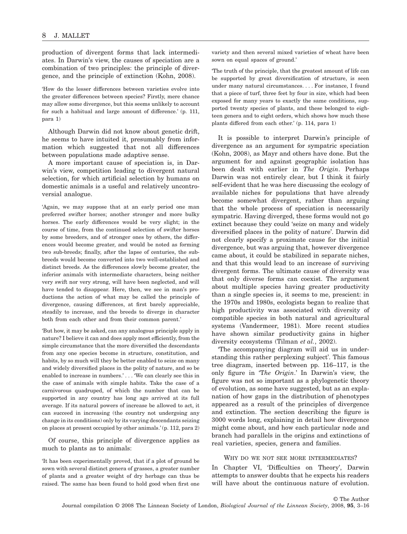production of divergent forms that lack intermediates. In Darwin's view, the causes of speciation are a combination of two principles: the principle of divergence, and the principle of extinction (Kohn, 2008).

'How do the lesser differences between varieties evolve into the greater differences between species? Firstly, mere chance may allow some divergence, but this seems unlikely to account for such a habitual and large amount of difference.' (p. 111, para 1)

Although Darwin did not know about genetic drift, he seems to have intuited it, presumably from information which suggested that not all differences between populations made adaptive sense.

A more important cause of speciation is, in Darwin's view, competition leading to divergent natural selection, for which artificial selection by humans on domestic animals is a useful and relatively uncontroversial analogue.

'Again, we may suppose that at an early period one man preferred swifter horses; another stronger and more bulky horses. The early differences would be very slight; in the course of time, from the continued selection of swifter horses by some breeders, and of stronger ones by others, the differences would become greater, and would be noted as forming two sub-breeds; finally, after the lapse of centuries, the subbreeds would become converted into two well-established and distinct breeds. As the differences slowly become greater, the inferior animals with intermediate characters, being neither very swift nor very strong, will have been neglected, and will have tended to disappear. Here, then, we see in man's productions the action of what may be called the principle of divergence, causing differences, at first barely appreciable, steadily to increase, and the breeds to diverge in character both from each other and from their common parent.'

'But how, it may be asked, can any analogous principle apply in nature? I believe it can and does apply most efficiently, from the simple circumstance that the more diversified the descendants from any one species become in structure, constitution, and habits, by so much will they be better enabled to seize on many and widely diversified places in the polity of nature, and so be enabled to increase in numbers.' . . . 'We can clearly see this in the case of animals with simple habits. Take the case of a carnivorous quadruped, of which the number that can be supported in any country has long ago arrived at its full average. If its natural powers of increase be allowed to act, it can succeed in increasing (the country not undergoing any change in its conditions) only by its varying descendants seizing on places at present occupied by other animals.' (p. 112, para 2)

Of course, this principle of divergence applies as much to plants as to animals:

'It has been experimentally proved, that if a plot of ground be sown with several distinct genera of grasses, a greater number of plants and a greater weight of dry herbage can thus be raised. The same has been found to hold good when first one

variety and then several mixed varieties of wheat have been sown on equal spaces of ground.'

'The truth of the principle, that the greatest amount of life can be supported by great diversification of structure, is seen under many natural circumstances. . . . For instance, I found that a piece of turf, three feet by four in size, which had been exposed for many years to exactly the same conditions, supported twenty species of plants, and these belonged to eighteen genera and to eight orders, which shows how much these plants differed from each other.' (p. 114, para 1)

It is possible to interpret Darwin's principle of divergence as an argument for sympatric speciation (Kohn, 2008), as Mayr and others have done. But the argument for and against geographic isolation has been dealt with earlier in *The Origin*. Perhaps Darwin was not entirely clear, but I think it fairly self-evident that he was here discussing the ecology of available niches for populations that have already become somewhat divergent, rather than arguing that the whole process of speciation is necessarily sympatric. Having diverged, these forms would not go extinct because they could 'seize on many and widely diversified places in the polity of nature'. Darwin did not clearly specify a proximate cause for the initial divergence, but was arguing that, however divergence came about, it could be stabilized in separate niches, and that this would lead to an increase of surviving divergent forms. The ultimate cause of diversity was that only diverse forms can coexist. The argument about multiple species having greater productivity than a single species is, it seems to me, prescient: in the 1970s and 1980s, ecologists began to realize that high productivity was associated with diversity of compatible species in both natural and agricultural systems (Vandermeer, 1981). More recent studies have shown similar productivity gains in higher diversity ecosystems (Tilman *et al.*, 2002).

'The accompanying diagram will aid us in understanding this rather perplexing subject'. This famous tree diagram, inserted between pp. 116–117, is the only figure in 'T*he Origin*.' In Darwin's view, the figure was not so important as a phylogenetic theory of evolution, as some have suggested, but as an explanation of how gaps in the distribution of phenotypes appeared as a result of the principles of divergence and extinction. The section describing the figure is 3000 words long, explaining in detail how divergence might come about, and how each particular node and branch had parallels in the origins and extinctions of real varieties, species, genera and families.

#### WHY DO WE NOT SEE MORE INTERMEDIATES?

In Chapter VI, 'Difficulties on Theory', Darwin attempts to answer doubts that he expects his readers will have about the continuous nature of evolution.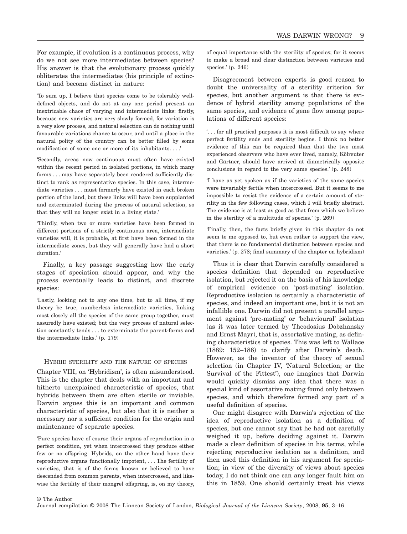For example, if evolution is a continuous process, why do we not see more intermediates between species? His answer is that the evolutionary process quickly obliterates the intermediates (his principle of extinction) and become distinct in nature:

'To sum up, I believe that species come to be tolerably welldefined objects, and do not at any one period present an inextricable chaos of varying and intermediate links: firstly, because new varieties are very slowly formed, for variation is a very slow process, and natural selection can do nothing until favourable variations chance to occur, and until a place in the natural polity of the country can be better filled by some modification of some one or more of its inhabitants. . . .'

'Secondly, areas now continuous must often have existed within the recent period in isolated portions, in which many forms . . . may have separately been rendered sufficiently distinct to rank as representative species. In this case, intermediate varieties . . . must formerly have existed in each broken portion of the land, but these links will have been supplanted and exterminated during the process of natural selection, so that they will no longer exist in a living state.'

'Thirdly, when two or more varieties have been formed in different portions of a strictly continuous area, intermediate varieties will, it is probable, at first have been formed in the intermediate zones, but they will generally have had a short duration.'

Finally, a key passage suggesting how the early stages of speciation should appear, and why the process eventually leads to distinct, and discrete species:

'Lastly, looking not to any one time, but to all time, if my theory be true, numberless intermediate varieties, linking most closely all the species of the same group together, must assuredly have existed; but the very process of natural selection constantly tends . . . to exterminate the parent-forms and the intermediate links.' (p. 179)

#### HYBRID STERILITY AND THE NATURE OF SPECIES

Chapter VIII, on 'Hybridism', is often misunderstood. This is the chapter that deals with an important and hitherto unexplained characteristic of species, that hybrids between them are often sterile or inviable. Darwin argues this is an important and common characteristic of species, but also that it is neither a necessary nor a sufficient condition for the origin and maintenance of separate species.

'Pure species have of course their organs of reproduction in a perfect condition, yet when intercrossed they produce either few or no offspring. Hybrids, on the other hand have their reproductive organs functionally impotent, . . . The fertility of varieties, that is of the forms known or believed to have descended from common parents, when intercrossed, and likewise the fertility of their mongrel offspring, is, on my theory, of equal importance with the sterility of species; for it seems to make a broad and clear distinction between varieties and species.' (p. 246)

Disagreement between experts is good reason to doubt the universality of a sterility criterion for species, but another argument is that there is evidence of hybrid sterility among populations of the same species, and evidence of gene flow among populations of different species:

'. . . for all practical purposes it is most difficult to say where perfect fertility ends and sterility begins. I think no better evidence of this can be required than that the two most experienced observers who have ever lived, namely, Kölreuter and Gärtner, should have arrived at diametrically opposite conclusions in regard to the very same species.' (p. 248)

'I have as yet spoken as if the varieties of the same species were invariably fertile when intercrossed. But it seems to me impossible to resist the evidence of a certain amount of sterility in the few following cases, which I will briefly abstract. The evidence is at least as good as that from which we believe in the sterility of a multitude of species.' (p. 269)

'Finally, then, the facts briefly given in this chapter do not seem to me opposed to, but even rather to support the view, that there is no fundamental distinction between species and varieties.' (p. 278; final summary of the chapter on hybridism)

Thus it is clear that Darwin carefully considered a species definition that depended on reproductive isolation, but rejected it on the basis of his knowledge of empirical evidence on 'post-mating' isolation. Reproductive isolation is certainly a characteristic of species, and indeed an important one, but it is not an infallible one. Darwin did not present a parallel argument against 'pre-mating' or 'behavioural' isolation (as it was later termed by Theodosius Dobzhansky and Ernst Mayr), that is, assortative mating, as defining characteristics of species. This was left to Wallace (1889: 152–186) to clarify after Darwin's death. However, as the inventor of the theory of sexual selection (in Chapter IV, 'Natural Selection; or the Survival of the Fittest'), one imagines that Darwin would quickly dismiss any idea that there was a special kind of assortative mating found only between species, and which therefore formed any part of a useful definition of species.

One might disagree with Darwin's rejection of the idea of reproductive isolation as a definition of species, but one cannot say that he had not carefully weighed it up, before deciding against it. Darwin made a clear definition of species in his terms, while rejecting reproductive isolation as a definition, and then used this definition in his argument for speciation; in view of the diversity of views about species today, I do not think one can any longer fault him on this in 1859. One should certainly treat his views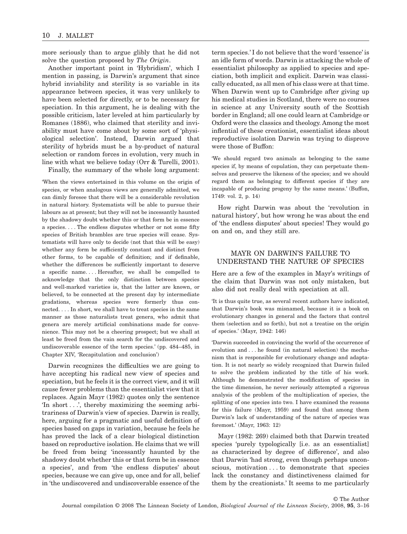more seriously than to argue glibly that he did not solve the question proposed by *The Origin*.

Another important point in 'Hybridism', which I mention in passing, is Darwin's argument that since hybrid inviability and sterility is so variable in its appearance between species, it was very unlikely to have been selected for directly, or to be necessary for speciation. In this argument, he is dealing with the possible criticism, later leveled at him particularly by Romanes (1886), who claimed that sterility and inviability must have come about by some sort of 'physiological selection'. Instead, Darwin argued that sterility of hybrids must be a by-product of natural selection or random forces in evolution, very much in line with what we believe today (Orr & Turelli, 2001).

Finally, the summary of the whole long argument:

'When the views entertained in this volume on the origin of species, or when analogous views are generally admitted, we can dimly foresee that there will be a considerable revolution in natural history. Systematists will be able to pursue their labours as at present; but they will not be incessantly haunted by the shadowy doubt whether this or that form be in essence a species. . . . The endless disputes whether or not some fifty species of British brambles are true species will cease. Systematists will have only to decide (not that this will be easy) whether any form be sufficiently constant and distinct from other forms, to be capable of definition; and if definable, whether the differences be sufficiently important to deserve a specific name. . . . Hereafter, we shall be compelled to acknowledge that the only distinction between species and well-marked varieties is, that the latter are known, or believed, to be connected at the present day by intermediate gradations, whereas species were formerly thus connected. . . . In short, we shall have to treat species in the same manner as those naturalists treat genera, who admit that genera are merely artificial combinations made for convenience. This may not be a cheering prospect; but we shall at least be freed from the vain search for the undiscovered and undiscoverable essence of the term species.' (pp. 484–485, in Chapter XIV, 'Recapitulation and conclusion')

Darwin recognizes the difficulties we are going to have accepting his radical new view of species and speciation, but he feels it is the correct view, and it will cause fewer problems than the essentialist view that it replaces. Again Mayr (1982) quotes only the sentence 'In short . . .', thereby maximizing the seeming arbitrariness of Darwin's view of species. Darwin is really, here, arguing for a pragmatic and useful definition of species based on gaps in variation, because he feels he has proved the lack of a clear biological distinction based on reproductive isolation. He claims that we will be freed from being 'incessantly haunted by the shadowy doubt whether this or that form be in essence a species', and from 'the endless disputes' about species, because we can give up, once and for all, belief in 'the undiscovered and undiscoverable essence of the term species.' I do not believe that the word 'essence' is an idle form of words. Darwin is attacking the whole of essentialist philosophy as applied to species and speciation, both implicit and explicit. Darwin was classically educated, as all men of his class were at that time. When Darwin went up to Cambridge after giving up his medical studies in Scotland, there were no courses in science at any University south of the Scottish border in England; all one could learn at Cambridge or Oxford were the classics and theology. Among the most inflential of these creationist, essentialist ideas about reproductive isolation Darwin was trying to disprove were those of Buffon:

'We should regard two animals as belonging to the same species if, by means of copulation, they can perpetuate themselves and preserve the likeness of the species; and we should regard them as belonging to different species if they are incapable of producing progeny by the same means.' (Buffon, 1749: vol. 2, p. 14)

How right Darwin was about the 'revolution in natural history', but how wrong he was about the end of 'the endless disputes' about species! They would go on and on, and they still are.

## MAYR ON DARWIN'S FAILURE TO UNDERSTAND THE NATURE OF SPECIES

Here are a few of the examples in Mayr's writings of the claim that Darwin was not only mistaken, but also did not really deal with speciation at all.

'It is thus quite true, as several recent authors have indicated, that Darwin's book was misnamed, because it is a book on evolutionary changes in general and the factors that control them (selection and so forth), but not a treatise on the origin of species.' (Mayr, 1942: 146)

'Darwin succeeded in convincing the world of the occurrence of evolution and . . . he found (in natural selection) the mechanism that is responsible for evolutionary change and adaptation. It is not nearly so widely recognized that Darwin failed to solve the problem indicated by the title of his work. Although he demonstrated the modification of species in the time dimension, he never seriously attempted a rigorous analysis of the problem of the multiplication of species, the splitting of one species into two. I have examined the reasons for this failure (Mayr, 1959) and found that among them Darwin's lack of understanding of the nature of species was foremost.' (Mayr, 1963: 12)

Mayr (1982: 269) claimed both that Darwin treated species 'purely typologically [i.e. as an essentialist] as characterized by degree of difference', and also that Darwin 'had strong, even though perhaps unconscious, motivation . . . to demonstrate that species lack the constancy and distinctiveness claimed for them by the creationists.' It seems to me particularly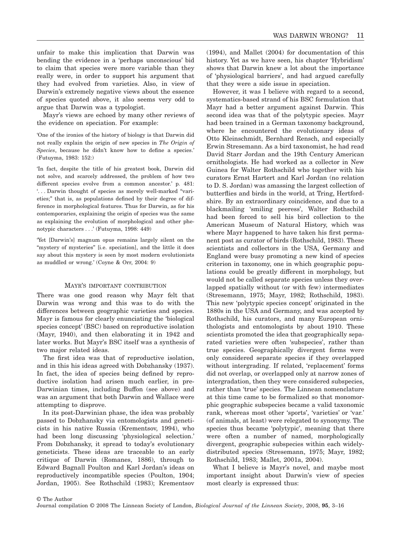unfair to make this implication that Darwin was bending the evidence in a 'perhaps unconscious' bid to claim that species were more variable than they really were, in order to support his argument that they had evolved from varieties. Also, in view of Darwin's extremely negative views about the essence of species quoted above, it also seems very odd to argue that Darwin was a typologist.

Mayr's views are echoed by many other reviews of the evidence on speciation. For example:

'One of the ironies of the history of biology is that Darwin did not really explain the origin of new species in *The Origin of Species*, because he didn't know how to define a species.' (Futuyma, 1983: 152:)

'In fact, despite the title of his greatest book, Darwin did not solve, and scarcely addressed, the problem of how two different species evolve from a common ancestor.' p. 481: '. . . Darwin thought of species as merely well-marked "varieties;" that is, as populations defined by their degree of difference in morphological features. Thus for Darwin, as for his contemporaries, explaining the origin of species was the same as explaining the evolution of morphological and other phenotypic characters . . .' (Futuyma, 1998: 449)

'Yet [Darwin's] magnum opus remains largely silent on the "mystery of mysteries" [i.e. speciation], and the little it does say about this mystery is seen by most modern evolutionists as muddled or wrong.' (Coyne & Orr, 2004: 9)

#### MAYR'S IMPORTANT CONTRIBUTION

There was one good reason why Mayr felt that Darwin was wrong and this was to do with the differences between geographic varieties and species. Mayr is famous for clearly enunciating the 'biological species concept' (BSC) based on reproductive isolation (Mayr, 1940), and then elaborating it in 1942 and later works. But Mayr's BSC itself was a synthesis of two major related ideas.

The first idea was that of reproductive isolation, and in this his ideas agreed with Dobzhansky (1937). In fact, the idea of species being defined by reproductive isolation had arisen much earlier, in pre-Darwinian times, including Buffon (see above) and was an argument that both Darwin and Wallace were attempting to disprove.

In its post-Darwinian phase, the idea was probably passed to Dobzhansky via entomologists and geneticists in his native Russia (Krementsov, 1994), who had been long discussing 'physiological selection.' From Dobzhansky, it spread to today's evolutionary geneticists. These ideas are traceable to an early critique of Darwin (Romanes, 1886), through to Edward Bagnall Poulton and Karl Jordan's ideas on reproductively incompatible species (Poulton, 1904; Jordan, 1905). See Rothschild (1983); Krementsov (1994), and Mallet (2004) for documentation of this history. Yet as we have seen, his chapter 'Hybridism' shows that Darwin knew a lot about the importance of 'physiological barriers', and had argued carefully that they were a side issue in speciation.

However, it was I believe with regard to a second, systematics-based strand of his BSC formulation that Mayr had a better argument against Darwin. This second idea was that of the polytypic species. Mayr had been trained in a German taxonomy background, where he encountered the evolutionary ideas of Otto Kleinschmidt, Bernhard Rensch, and especially Erwin Stresemann. As a bird taxonomist, he had read David Starr Jordan and the 19th Century American ornithologists. He had worked as a collector in New Guinea for Walter Rothschild who together with his curators Ernst Hartert and Karl Jordan (no relation to D. S. Jordan) was amassing the largest collection of butterflies and birds in the world, at Tring, Hertfordshire. By an extraordinary coincidence, and due to a blackmailing 'smiling peeress', Walter Rothschild had been forced to sell his bird collection to the American Museum of Natural History, which was where Mayr happened to have taken his first permanent post as curator of birds (Rothschild, 1983). These scientists and collectors in the USA, Germany and England were busy promoting a new kind of species criterion in taxonomy, one in which geographic populations could be greatly different in morphology, but would not be called separate species unless they overlapped spatially without (or with few) intermediates (Stresemann, 1975; Mayr, 1982; Rothschild, 1983). This new 'polytypic species concept' originated in the 1880s in the USA and Germany, and was accepted by Rothschild, his curators, and many European ornithologists and entomologists by about 1910. These scientists promoted the idea that geographically separated varieties were often 'subspecies', rather than true species. Geographically divergent forms were only considered separate species if they overlapped without intergrading. If related, 'replacement' forms did not overlap, or overlapped only at narrow zones of intergradation, then they were considered subspecies, rather than 'true' species. The Linnean nomenclature at this time came to be formalized so that monomorphic geographic subspecies became a valid taxonomic rank, whereas most other 'sports', 'varieties' or 'var.' (of animals, at least) were relegated to synonymy. The species thus became 'polytypic', meaning that there were often a number of named, morphologically divergent, geographic subspecies within each widelydistributed species (Stresemann, 1975; Mayr, 1982; Rothschild, 1983; Mallet, 2001a, 2004).

What I believe is Mayr's novel, and maybe most important insight about Darwin's view of species most clearly is expressed thus: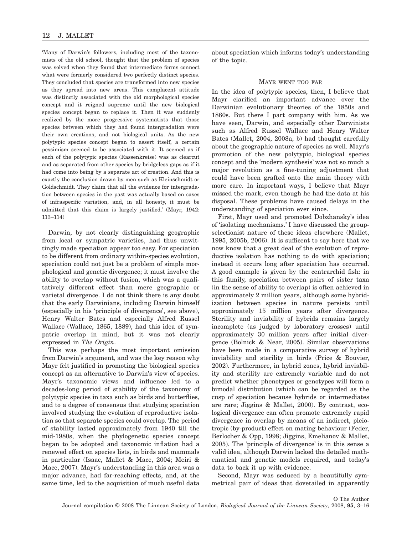'Many of Darwin's followers, including most of the taxonomists of the old school, thought that the problem of species was solved when they found that intermediate forms connect what were formerly considered two perfectly distinct species. They concluded that species are transformed into new species as they spread into new areas. This complacent attitude was distinctly associated with the old morphological species concept and it reigned supreme until the new biological species concept began to replace it. Then it was suddenly realized by the more progressive systematists that those species between which they had found intergradation were their own creations, and not biological units. As the new polytypic species concept began to assert itself, a certain pessimism seemed to be associated with it. It seemed as if each of the polytypic species (Rassenkreise) was as clearcut and as separated from other species by bridgeless gaps as if it had come into being by a separate act of creation. And this is exactly the conclusion drawn by men such as Kleinschmidt or Goldschmidt. They claim that all the evidence for intergradation between species in the past was actually based on cases of infraspecific variation, and, in all honesty, it must be admitted that this claim is largely justified.' (Mayr, 1942: 113–114)

Darwin, by not clearly distinguishing geographic from local or sympatric varieties, had thus unwittingly made speciation appear too easy. For speciation to be different from ordinary within-species evolution, speciation could not just be a problem of simple morphological and genetic divergence; it must involve the ability to overlap without fusion, which was a qualitatively different effect than mere geographic or varietal divergence. I do not think there is any doubt that the early Darwinians, including Darwin himself (especially in his 'principle of divergence', see above), Henry Walter Bates and especially Alfred Russel Wallace (Wallace, 1865, 1889), had this idea of sympatric overlap in mind, but it was not clearly expressed in *The Origin*.

This was perhaps the most important omission from Darwin's argument, and was the key reason why Mayr felt justified in promoting the biological species concept as an alternative to Darwin's view of species. Mayr's taxonomic views and influence led to a decades-long period of stability of the taxonomy of polytypic species in taxa such as birds and butterflies, and to a degree of consensus that studying speciation involved studying the evolution of reproductive isolation so that separate species could overlap. The period of stability lasted approximately from 1940 till the mid-1980s, when the phylogenetic species concept began to be adopted and taxonomic inflation had a renewed effect on species lists, in birds and mammals in particular (Isaac, Mallet & Mace, 2004; Meiri & Mace, 2007). Mayr's understanding in this area was a major advance, had far-reaching effects, and, at the same time, led to the acquisition of much useful data

about speciation which informs today's understanding of the topic.

#### MAYR WENT TOO FAR

In the idea of polytypic species, then, I believe that Mayr clarified an important advance over the Darwinian evolutionary theories of the 1850s and 1860s. But there I part company with him. As we have seen, Darwin, and especially other Darwinists such as Alfred Russel Wallace and Henry Walter Bates (Mallet, 2004, 2008a, b) had thought carefully about the geographic nature of species as well. Mayr's promotion of the new polytypic, biological species concept and the 'modern synthesis' was not so much a major revolution as a fine-tuning adjustment that could have been grafted onto the main theory with more care. In important ways, I believe that Mayr missed the mark, even though he had the data at his disposal. These problems have caused delays in the understanding of speciation ever since.

First, Mayr used and promoted Dobzhansky's idea of 'isolating mechanisms.' I have discussed the groupselectionist nature of these ideas elsewhere (Mallet, 1995, 2005b, 2006). It is sufficent to say here that we now know that a great deal of the evolution of reproductive isolation has nothing to do with speciation; instead it occurs long after speciation has occurred. A good example is given by the centrarchid fish: in this family, speciation between pairs of sister taxa (in the sense of ability to overlap) is often achieved in approximately 2 million years, although some hybridization between species in nature persists until approximately 15 million years after divergence. Sterility and inviability of hybrids remains largely incomplete (as judged by laboratory crosses) until approximately 30 million years after initial divergence (Bolnick & Near, 2005). Similar observations have been made in a comparative survey of hybrid inviability and sterility in birds (Price & Bouvier, 2002). Furthermore, in hybrid zones, hybrid inviability and sterility are extremely variable and do not predict whether phenotypes or genotypes will form a bimodal distribution (which can be regarded as the cusp of speciation because hybrids or intermediates are rare; Jiggins & Mallet, 2000). By contrast, ecological divergence can often promote extremely rapid divergence in overlap by means of an indirect, pleiotropic (by-product) effect on mating behaviour (Feder, Berlocher & Opp, 1998; Jiggins, Emelianov & Mallet, 2005). The 'principle of divergence' is in this sense a valid idea, although Darwin lacked the detailed mathematical and genetic models required, and today's data to back it up with evidence.

Second, Mayr was seduced by a beautifully symmetrical pair of ideas that dovetailed in apparently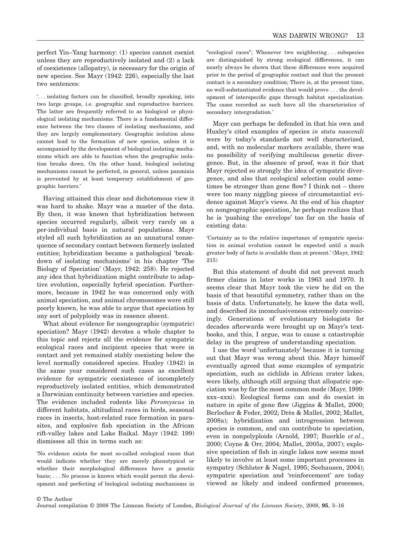perfect Yin–Yang harmony: (1) species cannot coexist unless they are reproductively isolated and (2) a lack of coexistence (allopatry), is necessary for the origin of new species. See Mayr (1942: 226), especially the last two sentences:

'. . . isolating factors can be classified, broadly speaking, into two large groups, i.e. geographic and reproductive barriers. The latter are frequently referred to as biological or physiological isolating mechanisms. There is a fundamental difference between the two classes of isolating mechanisms, and they are largely complementary. Geographic isolation alone cannot lead to the formation of new species, unless it is accompanied by the development of biological isolating mechanisms which are able to function when the geographic isolation breaks down. On the other hand, biological isolating mechanisms cannot be perfected, in general, unless panmixia is prevented by at least temporary establishment of geographic barriers.'

Having attained this clear and dichotomous view it was hard to shake. Mayr was a master of the data. By then, it was known that hybridization between species occurred regularly, albeit very rarely on a per-individual basis in natural populations. Mayr styled all such hybridization as an unnatural consequence of secondary contact between formerly isolated entities; hybridization became a pathological 'breakdown of isolating mechanisms' in his chapter 'The Biology of Speciation' (Mayr, 1942: 258). He rejected any idea that hybridization might contribute to adaptive evolution, especially hybrid speciation. Furthermore, because in 1942 he was concerned only with animal speciation, and animal chromosomes were still poorly known, he was able to argue that speciation by any sort of polyploidy was in essence absent.

What about evidence for nongeographic (sympatric) speciation? Mayr (1942) devotes a whole chapter to this topic and rejects all the evidence for sympatric ecological races and incipient species that were in contact and yet remained stably coexisting below the level normally considered species. Huxley (1942) in the same year considered such cases as excellent evidence for sympatric coexistence of incompletely reproductively isolated entities, which demonstrated a Darwinian continuity between varieties and species. The evidence included rodents like *Peromyscus* in different habitats, altitudinal races in birds, seasonal races in insects, host-related race formation in parasites, and explosive fish speciation in the African rift-valley lakes and Lake Baikal. Mayr (1942: 199) dismisses all this in terms such as:

'No evidence exists for most so-called ecological races that would indicate whether they are merely phenotypical or whether their morphological differences have a genetic basis; . . . No process is known which would permit the development and perfecting of biological isolating mechanisms in "ecological races"; Whenever two neighboring . . . subspecies are distinguished by strong ecological differences, it can nearly always be shown that these differences were acquired prior to the period of geographic contact and that the present contact is a secondary condition; There is, at the present time, no well-substantiated evidence that would prove . . . the development of interspecific gaps through habitat specialization. The cases recorded as such have all the characteristics of secondary intergradation.'

Mayr can perhaps be defended in that his own and Huxley's cited examples of species *in statu nascendi* were by today's standards not well characterized, and, with no molecular markers available, there was no possibility of verifying multilocus genetic divergence. But, in the absence of proof, was it fair that Mayr rejected so strongly the idea of sympatric divergence, and also that ecological selection could sometimes be stronger than gene flow? I think not – there were too many niggling pieces of circumstantial evidence against Mayr's views. At the end of his chapter on nongeographic speciation, he perhaps realizes that he is 'pushing the envelope' too far on the basis of existing data:

'Certainty as to the relative importance of sympatric speciation in animal evolution cannot be expected until a much greater body of facts is available than at present.' (Mayr, 1942: 215)

But this statement of doubt did not prevent much firmer claims in later works in 1963 and 1970. It seems clear that Mayr took the view he did on the basis of that beautiful symmetry, rather than on the basis of data. Unfortunately, he knew the data well, and described its inconclusiveness extremely convincingly. Generations of evolutionary biologists for decades afterwards were brought up on Mayr's textbooks, and this, I argue, was to cause a catastrophic delay in the progress of understanding speciation.

I use the word 'unfortunately' because it is turning out that Mayr was wrong about this. Mayr himself eventually agreed that some examples of sympatric speciation, such as cichlids in African crater lakes, were likely, although still arguing that allopatric speciation was by far the most common mode (Mayr, 1999: xxx–xxxi). Ecological forms can and do coexist in nature in spite of gene flow (Jiggins & Mallet, 2000; Berlocher & Feder, 2002; Drès & Mallet, 2002; Mallet, 2008a); hybridization and introgression between species is common, and can contribute to speciation, even in nonpolyploids (Arnold, 1997; Buerkle *et al.*, 2000; Coyne & Orr, 2004; Mallet, 2005a, 2007); explosive speciation of fish in single lakes now seems most likely to involve at least some important processes in sympatry (Schluter & Nagel, 1995; Seehausen, 2004); sympatric speciation and 'reinforcement' are today viewed as likely and indeed confirmed processes,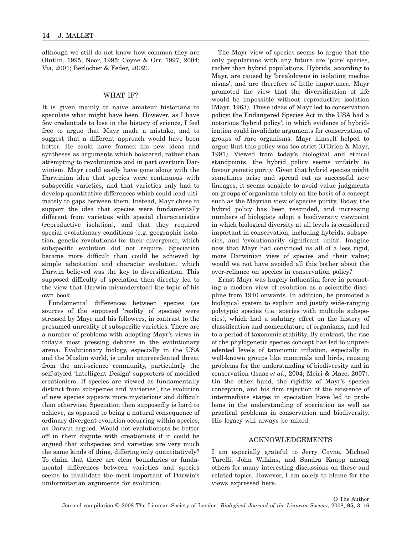although we still do not know how common they are (Butlin, 1995; Noor, 1995; Coyne & Orr, 1997, 2004; Via, 2001; Berlocher & Feder, 2002).

#### WHAT IF?

It is given mainly to naive amateur historians to speculate what might have been. However, as I have few credentials to lose in the history of science, I feel free to argue that Mayr made a mistake, and to suggest that a different approach would have been better. He could have framed his new ideas and syntheses as arguments which bolstered, rather than attempting to revolutionize and in part overturn Darwinism. Mayr could easily have gone along with the Darwinian idea that species were continuous with subspecific varieties, and that varieties only had to develop quantitative differences which could lead ultimately to gaps between them. Instead, Mayr chose to support the idea that species were fundamentally different from varieties with special characteristics (reproductive isolation), and that they required special evolutionary conditions (e.g. geographic isolation, genetic revolutions) for their divergence, which subspecific evolution did not require. Speciation became more difficult than could be achieved by simple adaptation and character evolution, which Darwin believed was the key to diversification. This supposed difficulty of speciation then directly led to the view that Darwin misunderstood the topic of his own book.

Fundamental differences between species (as sources of the supposed 'reality' of species) were stressed by Mayr and his followers, in contrast to the presumed unreality of subspecific varieties. There are a number of problems with adopting Mayr's views in today's most pressing debates in the evolutionary arena. Evolutionary biology, especially in the USA and the Muslim world, is under unprecedented threat from the anti-science community, particularly the self-styled 'Intelligent Design' supporters of modified creationism. If species are viewed as fundamentally distinct from subspecies and 'varieties', the evolution of new species appears more mysterious and difficult than otherwise. Speciation then supposedly is hard to achieve, as opposed to being a natural consequence of ordinary divergent evolution occurring within species, as Darwin argued. Would not evolutionists be better off in their dispute with creationists if it could be argued that subspecies and varieties are very much the same kinds of thing, differing only quantitatively? To claim that there are clear boundaries or fundamental differences between varieties and species seems to invalidate the most important of Darwin's uniformitarian arguments for evolution.

The Mayr view of species seems to argue that the only populations with any future are 'pure' species, rather than hybrid populations. Hybrids, according to Mayr, are caused by 'breakdowns in isolating mechanisms', and are therefore of little importance. Mayr promoted the view that the diversification of life would be impossible without reproductive isolation (Mayr, 1963). These ideas of Mayr led to conservation policy: the Endangered Species Act in the USA had a notorious 'hybrid policy', in which evidence of hybridization could invalidate arguments for conservation of groups of rare organisms. Mayr himself helped to argue that this policy was too strict (O'Brien & Mayr, 1991). Viewed from today's biological and ethical standpoints, the hybrid policy seems unfairly to favour genetic purity. Given that hybrid species might sometimes arise and spread out as successful new lineages, it seems sensible to avoid value judgments on groups of organisms solely on the basis of a concept such as the Mayrian view of species purity. Today, the hybrid policy has been rescinded, and increasing numbers of biologists adopt a biodiversity viewpoint in which biological diversity at all levels is considered important in conservation, including hybrids, subspecies, and 'evolutionarily significant units'. Imagine now that Mayr had convinced us all of a less rigid, more Darwinian view of species and their value; would we not have avoided all this bother about the over-reliance on species in conservation policy?

Ernst Mayr was hugely influential force in promoting a modern view of evolution as a scientific discipline from 1940 onwards. In addition, he promoted a biological system to explain and justify wide-ranging polytypic species (i.e. species with multiple subspecies), which had a salutary effect on the history of classification and nomenclature of organisms, and led to a period of taxonomic stability. By contrast, the rise of the phylogenetic species concept has led to unprecedented levels of taxonomic inflation, especially in well-known groups like mammals and birds, causing problems for the understanding of biodiversity and in conservation (Isaac *et al.*, 2004; Meiri & Mace, 2007). On the other hand, the rigidity of Mayr's species conception, and his firm rejection of the existence of intermediate stages in speciation have led to problems in the understanding of speciation as well as practical problems in conservation and biodiversity. His legacy will always be mixed.

### ACKNOWLEDGEMENTS

I am especially grateful to Jerry Coyne, Michael Turelli, John Wilkins, and Sandra Knapp among others for many interesting discussions on these and related topics. However, I am solely to blame for the views expressed here.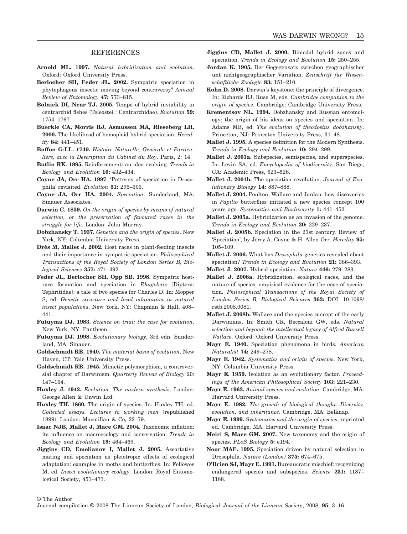#### REFERENCES

- **Arnold ML. 1997.** *Natural hybridization and evolution*. Oxford: Oxford University Press.
- **Berlocher SH, Feder JL. 2002.** Sympatric speciation in phytophagous insects: moving beyond controversy? *Annual Review of Entomology* **47:** 773–815.
- **Bolnick DI, Near TJ. 2005.** Tempo of hybrid inviability in centrarchid fishes (Teleostei : Centrarchidae). *Evolution* **59:** 1754–1767.
- **Buerkle CA, Morris RJ, Asmussen MA, Rieseberg LH. 2000.** The likelihood of homoploid hybrid speciation. *Heredity* **84:** 441–451.
- **Buffon G-LL. 1749.** *Histoire Naturelle, Générale et Particulière, avec la Description du Cabinet du Roy*. Paris, 2: 14.
- **Butlin RK. 1995.** Reinforcement: an idea evolving. *Trends in Ecology and Evolution* **10:** 432–434.
- **Coyne JA, Orr HA. 1997**. 'Patterns of speciation in Drosophila' revisited. *Evolution* **51:** 295–303.
- **Coyne JA, Orr HA. 2004.** *Speciation*. Sunderland, MA: Sinauer Associates.
- **Darwin C. 1859.** *On the origin of species by means of natural selection, or the preservation of favoured races in the struggle for life*. London: John Murray.
- **Dobzhansky T. 1937.** *Genetics and the origin of species*. New York, NY: Columbia University Press.
- **Drès M, Mallet J. 2002.** Host races in plant-feeding insects and their importance in sympatric speciation. *Philosophical Transactions of the Royal Society of London Series B, Biological Sciences* **357:** 471–492.
- **Feder JL, Berlocher SH, Opp SB. 1998.** Sympatric hostrace formation and speciation in *Rhagoletis* (Diptera: Tephritidae): a tale of two species for Charles D. In: Mopper S, ed. *Genetic structure and local adaptation in natural insect populations*. New York, NY: Chapman & Hall, 408– 441.
- **Futuyma DJ. 1983.** *Science on trial: the case for evolution*. New York, NY: Pantheon.
- **Futuyma DJ. 1998.** *Evolutionary biology*, 3rd edn. Sunderland, MA: Sinauer.
- **Goldschmidt RB. 1940.** *The material basis of evolution*. New Haven, CT: Yale University Press.
- **Goldschmidt RB. 1945.** Mimetic polymorphism, a controversial chapter of Darwinism. *Quarterly Review of Biology* 20: 147–164.
- **Huxley J. 1942.** *Evolution. The modern synthesis*. London: George Allen & Unwin Ltd.
- **Huxley TH. 1860.** The origin of species. In: Huxley TH, ed. *Collected essays. Lectures to working men* (republished 1899). London: Macmillan & Co, 22–79.
- **Isaac NJB, Mallet J, Mace GM. 2004.** Taxonomic inflation: its influence on macroecology and conservation. *Trends in Ecology and Evolution* **19:** 464–469.
- **Jiggins CD, Emelianov I, Mallet J. 2005.** Assortative mating and speciation as pleiotropic effects of ecological adaptation: examples in moths and butterflies. In: Fellowes M, ed. *Insect evolutionary ecology*. London: Royal Entomological Society, 451–473.
- **Jiggins CD, Mallet J. 2000.** Bimodal hybrid zones and speciation. *Trends in Ecology and Evolution* **15:** 250–255.
- **Jordan K. 1905.** Der Gegegensatz zwischen geographischer unt nichtgeographischer Variation. *Zeitschrift für Wissenschaftliche Zoologie* **83:** 151–210.
- **Kohn D. 2008.** Darwin's keystone: the principle of divergence. In: Richards RJ, Ruse M, eds. *Cambridge companion to the origin of species*. Cambridge: Cambridge University Press.
- **Krementsov NL. 1994.** Dobzhansky and Russian entomology: the origin of his ideas on species and speciation. In: Adams MB, ed. *The evolution of theodosius dobzhansky*. Princeton, NJ: Princeton University Press, 31–48.
- **Mallet J. 1995.** A species definition for the Modern Synthesis. *Trends in Ecology and Evolution* **10:** 294–299.
- **Mallet J. 2001a.** Subspecies, semispecies, and superspecies. In: Levin SA, ed. *Encyclopedia of biodiversity*. San Diego, CA: Academic Press, 523–526.
- **Mallet J. 2001b.** The speciation revolution. *Journal of Evolutionary Biology* **14:** 887–888.
- **Mallet J. 2004.** Poulton, Wallace and Jordan: how discoveries in *Papilio* butterflies initiated a new species concept 100 years ago. *Systematics and Biodiversity* **1:** 441–452.
- **Mallet J. 2005a.** Hybridization as an invasion of the genome. *Trends in Ecology and Evolution* **20:** 229–237.
- **Mallet J. 2005b.** Speciation in the 21st century. Review of 'Speciation', by Jerry A. Coyne & H. Allen Orr. *Heredity* **95:** 105–109.
- **Mallet J. 2006.** What has *Drosophila* genetics revealed about speciation? *Trends in Ecology and Evolution* **21:** 386–393.
- **Mallet J. 2007.** Hybrid speciation. *Nature* **446:** 279–283.
- **Mallet J. 2008a.** Hybridization, ecological races, and the nature of species: empirical evidence for the ease of speciation. *Philosophical Transactions of the Royal Society of London Series B, Biological Sciences* **363:** DOI: 10.1098/ rstb.2008.0081.
- **Mallet J. 2008b.** Wallace and the species concept of the early Darwinians. In: Smith CR, Beccaloni GW, eds. *Natural selection and beyond: the intellectual legacy of Alfred Russell Wallace*. Oxford: Oxford University Press.
- **Mayr E. 1940.** Speciation phenomena in birds. *American Naturalist* **74:** 249–278.
- **Mayr E. 1942.** *Systematics and origin of species*. New York, NY: Columbia University Press.
- **Mayr E. 1959.** Isolation as an evolutionary factor. *Proceedings of the American Philosophical Society* **103:** 221–230.
- **Mayr E. 1963.** *Animal species and evolution*. Cambridge, MA: Harvard University Press.
- **Mayr E. 1982.** *The growth of biological thought. Diversity, evolution, and inheritance*. Cambridge, MA: Belknap.
- **Mayr E. 1999.** *Systematics and the origin of species*, reprinted ed. Cambridge, MA: Harvard University Press.
- **Meiri S, Mace GM. 2007.** New taxonomy and the origin of species. *PLoS Biology* **5:** e194.
- **Noor MAF. 1995.** Speciation driven by natural selection in Drosophila. *Nature (London)* **375:** 674–675.
- **O'Brien SJ, Mayr E. 1991.** Bureaucratic mischief: recognizing endangered species and subspecies. *Science* **251:** 1187– 1188.